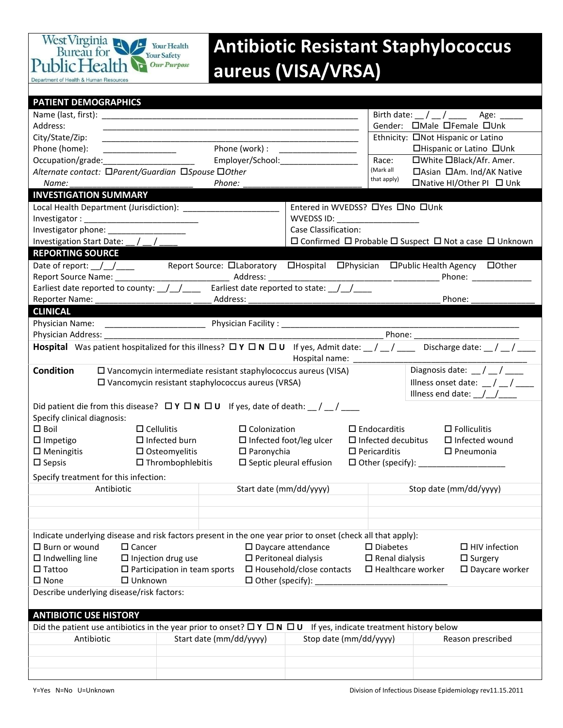

## **Antibiotic Resistant Staphylococcus aureus (VISA/VRSA)**

| <b>PATIENT DEMOGRAPHICS</b>                                                                                                                                     |                                                                                                                             |                                                                                                 |                                                                                                                                                                                                                                |  |  |  |  |  |
|-----------------------------------------------------------------------------------------------------------------------------------------------------------------|-----------------------------------------------------------------------------------------------------------------------------|-------------------------------------------------------------------------------------------------|--------------------------------------------------------------------------------------------------------------------------------------------------------------------------------------------------------------------------------|--|--|--|--|--|
|                                                                                                                                                                 |                                                                                                                             |                                                                                                 | Birth date: $\frac{1}{2}$ / $\frac{1}{2}$ Age: $\frac{1}{2}$                                                                                                                                                                   |  |  |  |  |  |
| Address:                                                                                                                                                        |                                                                                                                             |                                                                                                 | Gender: OMale OFemale OUnk                                                                                                                                                                                                     |  |  |  |  |  |
| City/State/Zip:                                                                                                                                                 |                                                                                                                             |                                                                                                 | Ethnicity: □Not Hispanic or Latino                                                                                                                                                                                             |  |  |  |  |  |
| Phone (home):                                                                                                                                                   | Phone (work) :                                                                                                              | <u> 1989 - Johann Barn, mars and de Brasil</u>                                                  | □Hispanic or Latino □Unk                                                                                                                                                                                                       |  |  |  |  |  |
| Occupation/grade:                                                                                                                                               | Employer/School: 2000                                                                                                       | Race:                                                                                           | □White □Black/Afr. Amer.                                                                                                                                                                                                       |  |  |  |  |  |
| Alternate contact: □Parent/Guardian □Spouse □Other                                                                                                              |                                                                                                                             | (Mark all                                                                                       | □Asian □Am. Ind/AK Native                                                                                                                                                                                                      |  |  |  |  |  |
| Name:                                                                                                                                                           | Phone:                                                                                                                      | that apply)                                                                                     | □Native HI/Other PI □ Unk                                                                                                                                                                                                      |  |  |  |  |  |
| <b>INVESTIGATION SUMMARY</b>                                                                                                                                    |                                                                                                                             |                                                                                                 |                                                                                                                                                                                                                                |  |  |  |  |  |
|                                                                                                                                                                 |                                                                                                                             | Entered in WVEDSS? OYes ONo OUnk                                                                |                                                                                                                                                                                                                                |  |  |  |  |  |
|                                                                                                                                                                 |                                                                                                                             | WVEDSS ID: ___________________                                                                  |                                                                                                                                                                                                                                |  |  |  |  |  |
| Investigator phone: __________________                                                                                                                          |                                                                                                                             | Case Classification:                                                                            |                                                                                                                                                                                                                                |  |  |  |  |  |
| Investigation Start Date: __/ __/_                                                                                                                              |                                                                                                                             | $\square$ Confirmed $\square$ Probable $\square$ Suspect $\square$ Not a case $\square$ Unknown |                                                                                                                                                                                                                                |  |  |  |  |  |
| <b>REPORTING SOURCE</b>                                                                                                                                         |                                                                                                                             |                                                                                                 |                                                                                                                                                                                                                                |  |  |  |  |  |
|                                                                                                                                                                 | Date of report: /// Report Source: DLaboratory DHospital DPhysician DPublic Health Agency DOther                            |                                                                                                 |                                                                                                                                                                                                                                |  |  |  |  |  |
|                                                                                                                                                                 |                                                                                                                             |                                                                                                 | Phone: the contract of the contract of the contract of the contract of the contract of the contract of the contract of the contract of the contract of the contract of the contract of the contract of the contract of the con |  |  |  |  |  |
|                                                                                                                                                                 | Earliest date reported to county: $\frac{1}{2}$ $\frac{1}{2}$ Earliest date reported to state: $\frac{1}{2}$                |                                                                                                 |                                                                                                                                                                                                                                |  |  |  |  |  |
| <b>Reporter Name:</b>                                                                                                                                           | Address:                                                                                                                    |                                                                                                 | Phone:                                                                                                                                                                                                                         |  |  |  |  |  |
| <b>CLINICAL</b>                                                                                                                                                 |                                                                                                                             |                                                                                                 |                                                                                                                                                                                                                                |  |  |  |  |  |
|                                                                                                                                                                 |                                                                                                                             |                                                                                                 |                                                                                                                                                                                                                                |  |  |  |  |  |
| Physician Address:                                                                                                                                              |                                                                                                                             |                                                                                                 | Phone: The contract of the contract of the contract of the contract of the contract of the contract of the contract of the contract of the contract of the contract of the contract of the contract of the contract of the con |  |  |  |  |  |
| <b>Hospital</b> Was patient hospitalized for this illness? $\Box Y \Box N \Box U$ If yes, Admit date: $\Box / \Box / \Box$ Discharge date: $\Box / \Box / \Box$ |                                                                                                                             |                                                                                                 |                                                                                                                                                                                                                                |  |  |  |  |  |
|                                                                                                                                                                 |                                                                                                                             | Hospital name: ___________                                                                      |                                                                                                                                                                                                                                |  |  |  |  |  |
| Diagnosis date: $\angle$ / $\angle$<br><b>Condition</b><br>$\square$ Vancomycin intermediate resistant staphylococcus aureus (VISA)                             |                                                                                                                             |                                                                                                 |                                                                                                                                                                                                                                |  |  |  |  |  |
|                                                                                                                                                                 | $\square$ Vancomycin resistant staphylococcus aureus (VRSA)                                                                 |                                                                                                 | Illness onset date: $\frac{1}{2}$ / $\frac{1}{2}$                                                                                                                                                                              |  |  |  |  |  |
| Illness end date: $\frac{1}{\sqrt{2}}$                                                                                                                          |                                                                                                                             |                                                                                                 |                                                                                                                                                                                                                                |  |  |  |  |  |
|                                                                                                                                                                 |                                                                                                                             |                                                                                                 |                                                                                                                                                                                                                                |  |  |  |  |  |
| Did patient die from this disease? $\Box Y \Box N \Box U$ If yes, date of death: $\Box / \Box / \Box$<br>Specify clinical diagnosis:                            |                                                                                                                             |                                                                                                 |                                                                                                                                                                                                                                |  |  |  |  |  |
| $\square$ Boil                                                                                                                                                  | $\Box$ Cellulitis<br>$\Box$ Colonization                                                                                    | $\Box$ Endocarditis                                                                             | $\Box$ Folliculitis                                                                                                                                                                                                            |  |  |  |  |  |
| $\Box$ Impetigo                                                                                                                                                 | $\Box$ Infected burn                                                                                                        | $\Box$ Infected foot/leg ulcer<br>$\square$ Infected decubitus                                  | $\Box$ Infected wound                                                                                                                                                                                                          |  |  |  |  |  |
| $\Box$ Meningitis                                                                                                                                               | $\square$ Osteomyelitis<br>$\Box$ Paronychia                                                                                | $\Box$ Pericarditis<br>$\Box$ Pneumonia                                                         |                                                                                                                                                                                                                                |  |  |  |  |  |
| $\square$ Sepsis                                                                                                                                                | $\square$ Thrombophlebitis                                                                                                  | $\square$ Septic pleural effusion                                                               |                                                                                                                                                                                                                                |  |  |  |  |  |
|                                                                                                                                                                 |                                                                                                                             |                                                                                                 |                                                                                                                                                                                                                                |  |  |  |  |  |
| Specify treatment for this infection:                                                                                                                           |                                                                                                                             |                                                                                                 |                                                                                                                                                                                                                                |  |  |  |  |  |
| Antibiotic                                                                                                                                                      | Start date (mm/dd/yyyy)                                                                                                     |                                                                                                 | Stop date (mm/dd/yyyy)                                                                                                                                                                                                         |  |  |  |  |  |
|                                                                                                                                                                 |                                                                                                                             |                                                                                                 |                                                                                                                                                                                                                                |  |  |  |  |  |
|                                                                                                                                                                 |                                                                                                                             |                                                                                                 |                                                                                                                                                                                                                                |  |  |  |  |  |
|                                                                                                                                                                 |                                                                                                                             |                                                                                                 |                                                                                                                                                                                                                                |  |  |  |  |  |
| Indicate underlying disease and risk factors present in the one year prior to onset (check all that apply):                                                     |                                                                                                                             |                                                                                                 |                                                                                                                                                                                                                                |  |  |  |  |  |
| $\Box$ Burn or wound<br>$\Box$ Cancer                                                                                                                           |                                                                                                                             | $\square$ Daycare attendance<br>$\square$ Diabetes                                              | $\Box$ HIV infection                                                                                                                                                                                                           |  |  |  |  |  |
| $\Box$ Indwelling line                                                                                                                                          | $\Box$ Injection drug use                                                                                                   | $\square$ Peritoneal dialysis<br>$\square$ Renal dialysis                                       | $\Box$ Surgery                                                                                                                                                                                                                 |  |  |  |  |  |
| $\Box$ Tattoo                                                                                                                                                   | $\Box$ Participation in team sports                                                                                         | $\square$ Household/close contacts<br>$\Box$ Healthcare worker                                  | $\square$ Daycare worker                                                                                                                                                                                                       |  |  |  |  |  |
| $\square$ None<br>$\Box$ Unknown<br>$\Box$ Other (specify):                                                                                                     |                                                                                                                             |                                                                                                 |                                                                                                                                                                                                                                |  |  |  |  |  |
| Describe underlying disease/risk factors:                                                                                                                       |                                                                                                                             |                                                                                                 |                                                                                                                                                                                                                                |  |  |  |  |  |
|                                                                                                                                                                 |                                                                                                                             |                                                                                                 |                                                                                                                                                                                                                                |  |  |  |  |  |
| <b>ANTIBIOTIC USE HISTORY</b>                                                                                                                                   |                                                                                                                             |                                                                                                 |                                                                                                                                                                                                                                |  |  |  |  |  |
|                                                                                                                                                                 | Did the patient use antibiotics in the year prior to onset? $\Box Y \Box N \Box U$ If yes, indicate treatment history below |                                                                                                 |                                                                                                                                                                                                                                |  |  |  |  |  |
| Antibiotic                                                                                                                                                      | Start date (mm/dd/yyyy)                                                                                                     | Stop date (mm/dd/yyyy)                                                                          | Reason prescribed                                                                                                                                                                                                              |  |  |  |  |  |
|                                                                                                                                                                 |                                                                                                                             |                                                                                                 |                                                                                                                                                                                                                                |  |  |  |  |  |
|                                                                                                                                                                 |                                                                                                                             |                                                                                                 |                                                                                                                                                                                                                                |  |  |  |  |  |
|                                                                                                                                                                 |                                                                                                                             |                                                                                                 |                                                                                                                                                                                                                                |  |  |  |  |  |